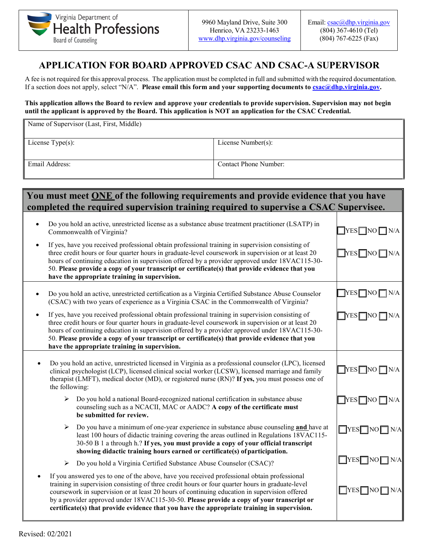

## **APPLICATION FOR BOARD APPROVED CSAC AND CSAC-A SUPERVISOR**

A fee is not required for this approval process. The application must be completed in full and submitted with the required documentation. If a section does not apply, select "N/A". **Please email this form and your supporting documents to <u>csac@dhp.virginia.gov</u>.** 

## **This application allows the Board to review and approve your credentials to provide supervision. Supervision may not begin until the applicant is approved by the Board. This application is NOT an application for the CSAC Credential.**

| Name of Supervisor (Last, First, Middle) |                       |  |
|------------------------------------------|-----------------------|--|
| License $Type(s)$ :                      | License Number(s):    |  |
| Email Address:                           | Contact Phone Number: |  |

## **You must meet ONE of the following requirements and provide evidence that you have**  completed the required supervision training required to supervise a CSAC Supervisee.

|           | Do you hold an active, unrestricted license as a substance abuse treatment practitioner (LSATP) in<br>Commonwealth of Virginia?                                                                                                                                                                                                                                                                                                                                                             | $YES$ NO $\neg N/A$             |
|-----------|---------------------------------------------------------------------------------------------------------------------------------------------------------------------------------------------------------------------------------------------------------------------------------------------------------------------------------------------------------------------------------------------------------------------------------------------------------------------------------------------|---------------------------------|
| $\bullet$ | If yes, have you received professional obtain professional training in supervision consisting of<br>three credit hours or four quarter hours in graduate-level coursework in supervision or at least 20<br>hours of continuing education in supervision offered by a provider approved under 18VAC115-30-<br>50. Please provide a copy of your transcript or certificate(s) that provide evidence that you<br>have the appropriate training in supervision.                                 | $\sqrt{\text{YES}}$ NO $\Box$   |
|           | Do you hold an active, unrestricted certification as a Virginia Certified Substance Abuse Counselor<br>(CSAC) with two years of experience as a Virginia CSAC in the Commonwealth of Virginia?                                                                                                                                                                                                                                                                                              | $YES$ NO                        |
| $\bullet$ | If yes, have you received professional obtain professional training in supervision consisting of<br>three credit hours or four quarter hours in graduate-level coursework in supervision or at least 20<br>hours of continuing education in supervision offered by a provider approved under 18VAC115-30-<br>50. Please provide a copy of your transcript or certificate(s) that provide evidence that you<br>have the appropriate training in supervision.                                 | TYES∏NO J                       |
|           | Do you hold an active, unrestricted licensed in Virginia as a professional counselor (LPC), licensed<br>clinical psychologist (LCP), licensed clinical social worker (LCSW), licensed marriage and family<br>therapist (LMFT), medical doctor (MD), or registered nurse (RN)? If yes, you must possess one of<br>the following:                                                                                                                                                             | $YES \Box NO \Box$<br>N/A       |
|           | Do you hold a national Board-recognized national certification in substance abuse<br>➤<br>counseling such as a NCACII, MAC or AADC? A copy of the certificate must<br>be submitted for review.                                                                                                                                                                                                                                                                                              | $\top$ YES $\top$ NO $\top$     |
|           | Do you have a minimum of one-year experience in substance abuse counseling and have at<br>➤<br>least 100 hours of didactic training covering the areas outlined in Regulations 18VAC115-<br>30-50 B 1 a through h.? If yes, you must provide a copy of your official transcript<br>showing didactic training hours earned or certificate(s) of participation.                                                                                                                               | $\Box$ YES $\Box$ NO $\Box$ N/A |
|           | Do you hold a Virginia Certified Substance Abuse Counselor (CSAC)?<br>$\blacktriangleright$                                                                                                                                                                                                                                                                                                                                                                                                 | $\Box$ YES $\Box$ NO $\Box$     |
|           | If you answered yes to one of the above, have you received professional obtain professional<br>training in supervision consisting of three credit hours or four quarter hours in graduate-level<br>coursework in supervision or at least 20 hours of continuing education in supervision offered<br>by a provider approved under 18VAC115-30-50. Please provide a copy of your transcript or<br>certificate(s) that provide evidence that you have the appropriate training in supervision. | $\Box$ YES $\Box$ NO            |